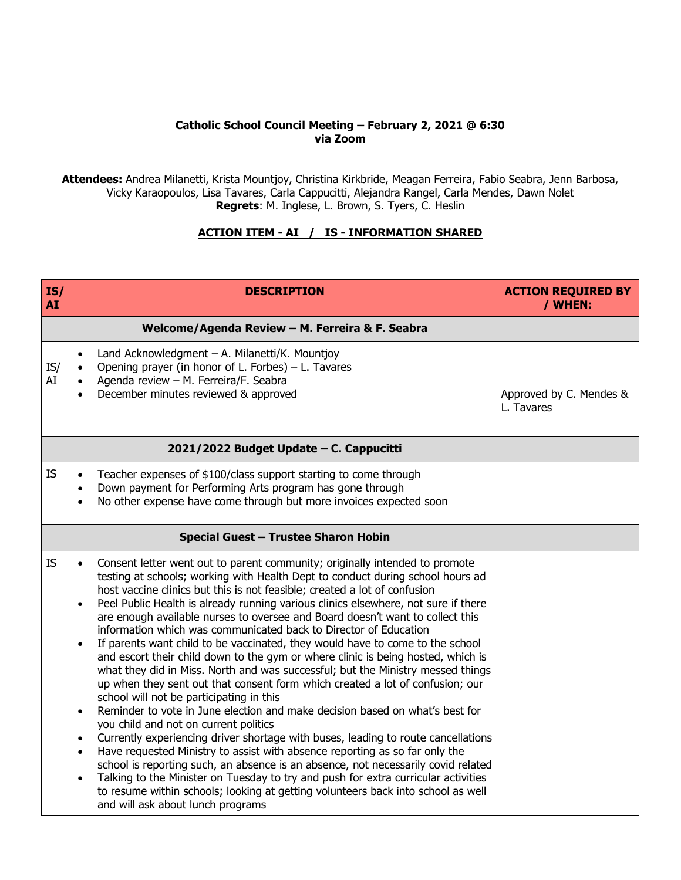## **Catholic School Council Meeting – February 2, 2021 @ 6:30 via Zoom**

**Attendees:** Andrea Milanetti, Krista Mountjoy, Christina Kirkbride, Meagan Ferreira, Fabio Seabra, Jenn Barbosa, Vicky Karaopoulos, Lisa Tavares, Carla Cappucitti, Alejandra Rangel, Carla Mendes, Dawn Nolet **Regrets**: M. Inglese, L. Brown, S. Tyers, C. Heslin

## **ACTION ITEM - AI / IS - INFORMATION SHARED**

| IS/<br><b>AI</b> | <b>DESCRIPTION</b>                                                                                                                                                                                                                                                                                                                                                                                                                                                                                                                                                                                                                                                                                                                                                                                                                                                                                                                                                                                                                                                                                                                                                                                                                                                                                                                                                                                                                                                                                                                                                     | <b>ACTION REQUIRED BY</b><br>/ WHEN:  |
|------------------|------------------------------------------------------------------------------------------------------------------------------------------------------------------------------------------------------------------------------------------------------------------------------------------------------------------------------------------------------------------------------------------------------------------------------------------------------------------------------------------------------------------------------------------------------------------------------------------------------------------------------------------------------------------------------------------------------------------------------------------------------------------------------------------------------------------------------------------------------------------------------------------------------------------------------------------------------------------------------------------------------------------------------------------------------------------------------------------------------------------------------------------------------------------------------------------------------------------------------------------------------------------------------------------------------------------------------------------------------------------------------------------------------------------------------------------------------------------------------------------------------------------------------------------------------------------------|---------------------------------------|
|                  | Welcome/Agenda Review - M. Ferreira & F. Seabra                                                                                                                                                                                                                                                                                                                                                                                                                                                                                                                                                                                                                                                                                                                                                                                                                                                                                                                                                                                                                                                                                                                                                                                                                                                                                                                                                                                                                                                                                                                        |                                       |
| IS/<br>AI        | Land Acknowledgment - A. Milanetti/K. Mountjoy<br>Opening prayer (in honor of L. Forbes) - L. Tavares<br>Agenda review - M. Ferreira/F. Seabra<br>December minutes reviewed & approved<br>$\bullet$                                                                                                                                                                                                                                                                                                                                                                                                                                                                                                                                                                                                                                                                                                                                                                                                                                                                                                                                                                                                                                                                                                                                                                                                                                                                                                                                                                    | Approved by C. Mendes &<br>L. Tavares |
|                  | 2021/2022 Budget Update - C. Cappucitti                                                                                                                                                                                                                                                                                                                                                                                                                                                                                                                                                                                                                                                                                                                                                                                                                                                                                                                                                                                                                                                                                                                                                                                                                                                                                                                                                                                                                                                                                                                                |                                       |
| <b>IS</b>        | Teacher expenses of \$100/class support starting to come through<br>Down payment for Performing Arts program has gone through<br>No other expense have come through but more invoices expected soon                                                                                                                                                                                                                                                                                                                                                                                                                                                                                                                                                                                                                                                                                                                                                                                                                                                                                                                                                                                                                                                                                                                                                                                                                                                                                                                                                                    |                                       |
|                  | Special Guest - Trustee Sharon Hobin                                                                                                                                                                                                                                                                                                                                                                                                                                                                                                                                                                                                                                                                                                                                                                                                                                                                                                                                                                                                                                                                                                                                                                                                                                                                                                                                                                                                                                                                                                                                   |                                       |
| <b>IS</b>        | Consent letter went out to parent community; originally intended to promote<br>$\bullet$<br>testing at schools; working with Health Dept to conduct during school hours ad<br>host vaccine clinics but this is not feasible; created a lot of confusion<br>Peel Public Health is already running various clinics elsewhere, not sure if there<br>$\bullet$<br>are enough available nurses to oversee and Board doesn't want to collect this<br>information which was communicated back to Director of Education<br>If parents want child to be vaccinated, they would have to come to the school<br>$\bullet$<br>and escort their child down to the gym or where clinic is being hosted, which is<br>what they did in Miss. North and was successful; but the Ministry messed things<br>up when they sent out that consent form which created a lot of confusion; our<br>school will not be participating in this<br>Reminder to vote in June election and make decision based on what's best for<br>$\bullet$<br>you child and not on current politics<br>Currently experiencing driver shortage with buses, leading to route cancellations<br>$\bullet$<br>Have requested Ministry to assist with absence reporting as so far only the<br>$\bullet$<br>school is reporting such, an absence is an absence, not necessarily covid related<br>Talking to the Minister on Tuesday to try and push for extra curricular activities<br>$\bullet$<br>to resume within schools; looking at getting volunteers back into school as well<br>and will ask about lunch programs |                                       |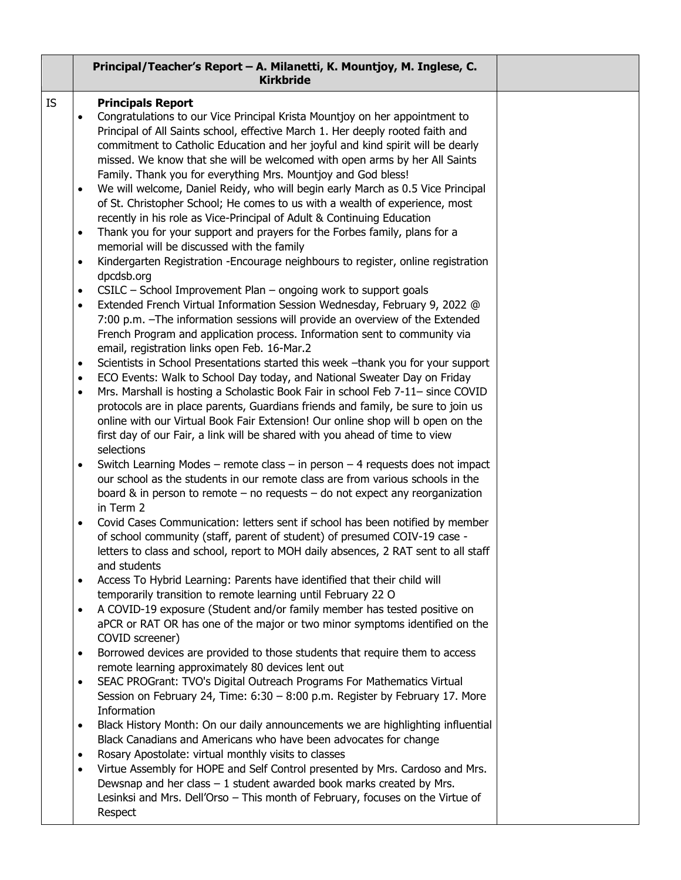|    | Principal/Teacher's Report - A. Milanetti, K. Mountjoy, M. Inglese, C.<br><b>Kirkbride</b>                                                                                                                                                                                                                                                                                           |  |
|----|--------------------------------------------------------------------------------------------------------------------------------------------------------------------------------------------------------------------------------------------------------------------------------------------------------------------------------------------------------------------------------------|--|
| IS | <b>Principals Report</b><br>Congratulations to our Vice Principal Krista Mountjoy on her appointment to<br>$\bullet$<br>Principal of All Saints school, effective March 1. Her deeply rooted faith and<br>commitment to Catholic Education and her joyful and kind spirit will be dearly<br>missed. We know that she will be welcomed with open arms by her All Saints               |  |
|    | Family. Thank you for everything Mrs. Mountjoy and God bless!<br>We will welcome, Daniel Reidy, who will begin early March as 0.5 Vice Principal<br>$\bullet$<br>of St. Christopher School; He comes to us with a wealth of experience, most<br>recently in his role as Vice-Principal of Adult & Continuing Education                                                               |  |
|    | Thank you for your support and prayers for the Forbes family, plans for a<br>$\bullet$<br>memorial will be discussed with the family                                                                                                                                                                                                                                                 |  |
|    | Kindergarten Registration - Encourage neighbours to register, online registration<br>$\bullet$<br>dpcdsb.org                                                                                                                                                                                                                                                                         |  |
|    | CSILC - School Improvement Plan - ongoing work to support goals<br>$\bullet$<br>Extended French Virtual Information Session Wednesday, February 9, 2022 @<br>$\bullet$<br>7:00 p.m. - The information sessions will provide an overview of the Extended<br>French Program and application process. Information sent to community via<br>email, registration links open Feb. 16-Mar.2 |  |
|    | Scientists in School Presentations started this week -thank you for your support<br>$\bullet$<br>ECO Events: Walk to School Day today, and National Sweater Day on Friday<br>$\bullet$                                                                                                                                                                                               |  |
|    | Mrs. Marshall is hosting a Scholastic Book Fair in school Feb 7-11- since COVID<br>$\bullet$<br>protocols are in place parents, Guardians friends and family, be sure to join us<br>online with our Virtual Book Fair Extension! Our online shop will b open on the<br>first day of our Fair, a link will be shared with you ahead of time to view<br>selections                     |  |
|    | Switch Learning Modes – remote class – in person – 4 requests does not impact<br>$\bullet$<br>our school as the students in our remote class are from various schools in the<br>board & in person to remote $-$ no requests $-$ do not expect any reorganization<br>in Term 2                                                                                                        |  |
|    | Covid Cases Communication: letters sent if school has been notified by member<br>$\bullet$<br>of school community (staff, parent of student) of presumed COIV-19 case -<br>letters to class and school, report to MOH daily absences, 2 RAT sent to all staff<br>and students                                                                                                        |  |
|    | Access To Hybrid Learning: Parents have identified that their child will<br>$\bullet$<br>temporarily transition to remote learning until February 22 O                                                                                                                                                                                                                               |  |
|    | A COVID-19 exposure (Student and/or family member has tested positive on<br>$\bullet$<br>aPCR or RAT OR has one of the major or two minor symptoms identified on the<br>COVID screener)                                                                                                                                                                                              |  |
|    | Borrowed devices are provided to those students that require them to access<br>$\bullet$<br>remote learning approximately 80 devices lent out                                                                                                                                                                                                                                        |  |
|    | SEAC PROGrant: TVO's Digital Outreach Programs For Mathematics Virtual<br>$\bullet$<br>Session on February 24, Time: 6:30 - 8:00 p.m. Register by February 17. More<br>Information                                                                                                                                                                                                   |  |
|    | Black History Month: On our daily announcements we are highlighting influential<br>$\bullet$<br>Black Canadians and Americans who have been advocates for change                                                                                                                                                                                                                     |  |
|    | Rosary Apostolate: virtual monthly visits to classes<br>$\bullet$<br>Virtue Assembly for HOPE and Self Control presented by Mrs. Cardoso and Mrs.<br>$\bullet$<br>Dewsnap and her class $-1$ student awarded book marks created by Mrs.<br>Lesinksi and Mrs. Dell'Orso - This month of February, focuses on the Virtue of<br>Respect                                                 |  |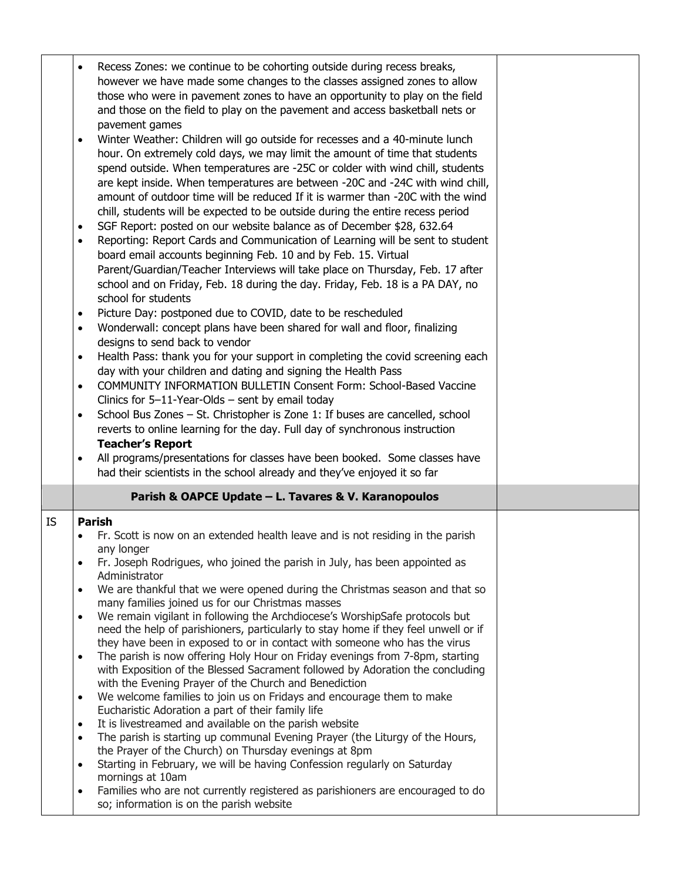|                                     | Recess Zones: we continue to be cohorting outside during recess breaks,<br>however we have made some changes to the classes assigned zones to allow<br>those who were in pavement zones to have an opportunity to play on the field<br>and those on the field to play on the pavement and access basketball nets or<br>pavement games<br>Winter Weather: Children will go outside for recesses and a 40-minute lunch<br>hour. On extremely cold days, we may limit the amount of time that students<br>spend outside. When temperatures are -25C or colder with wind chill, students                                                                                   |  |
|-------------------------------------|------------------------------------------------------------------------------------------------------------------------------------------------------------------------------------------------------------------------------------------------------------------------------------------------------------------------------------------------------------------------------------------------------------------------------------------------------------------------------------------------------------------------------------------------------------------------------------------------------------------------------------------------------------------------|--|
| $\bullet$<br>$\bullet$              | are kept inside. When temperatures are between -20C and -24C with wind chill,<br>amount of outdoor time will be reduced If it is warmer than -20C with the wind<br>chill, students will be expected to be outside during the entire recess period<br>SGF Report: posted on our website balance as of December \$28, 632.64<br>Reporting: Report Cards and Communication of Learning will be sent to student<br>board email accounts beginning Feb. 10 and by Feb. 15. Virtual<br>Parent/Guardian/Teacher Interviews will take place on Thursday, Feb. 17 after<br>school and on Friday, Feb. 18 during the day. Friday, Feb. 18 is a PA DAY, no<br>school for students |  |
| $\bullet$<br>$\bullet$<br>$\bullet$ | Picture Day: postponed due to COVID, date to be rescheduled<br>Wonderwall: concept plans have been shared for wall and floor, finalizing<br>designs to send back to vendor<br>Health Pass: thank you for your support in completing the covid screening each                                                                                                                                                                                                                                                                                                                                                                                                           |  |
| $\bullet$                           | day with your children and dating and signing the Health Pass<br>COMMUNITY INFORMATION BULLETIN Consent Form: School-Based Vaccine<br>Clinics for $5-11$ -Year-Olds – sent by email today                                                                                                                                                                                                                                                                                                                                                                                                                                                                              |  |
| $\bullet$                           | School Bus Zones - St. Christopher is Zone 1: If buses are cancelled, school<br>reverts to online learning for the day. Full day of synchronous instruction                                                                                                                                                                                                                                                                                                                                                                                                                                                                                                            |  |
|                                     | <b>Teacher's Report</b><br>All programs/presentations for classes have been booked. Some classes have<br>had their scientists in the school already and they've enjoyed it so far                                                                                                                                                                                                                                                                                                                                                                                                                                                                                      |  |
|                                     |                                                                                                                                                                                                                                                                                                                                                                                                                                                                                                                                                                                                                                                                        |  |
|                                     | Parish & OAPCE Update - L. Tavares & V. Karanopoulos                                                                                                                                                                                                                                                                                                                                                                                                                                                                                                                                                                                                                   |  |